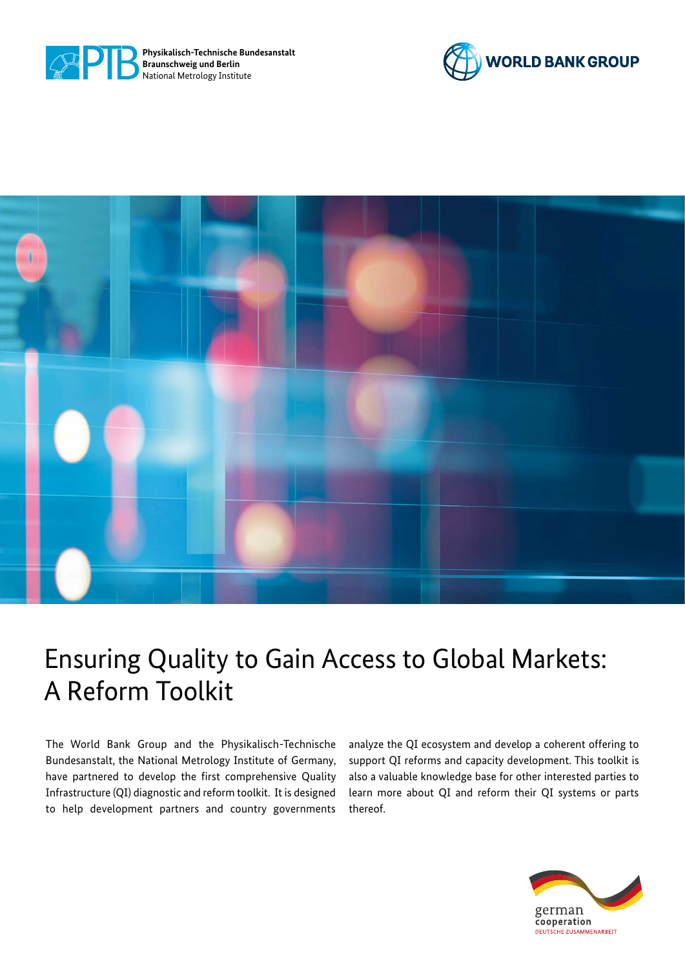





# Ensuring Quality to Gain Access to Global Markets: A Reform Toolkit

The World Bank Group and the Physikalisch-Technische Bundesanstalt, the National Metrology Institute of Germany, have partnered to develop the first comprehensive Quality Infrastructure (QI) diagnostic and reform toolkit. It is designed to help development partners and country governments

analyze the QI ecosystem and develop a coherent offering to support QI reforms and capacity development. This toolkit is also a valuable knowledge base for other interested parties to learn more about QI and reform their QI systems or parts thereof.